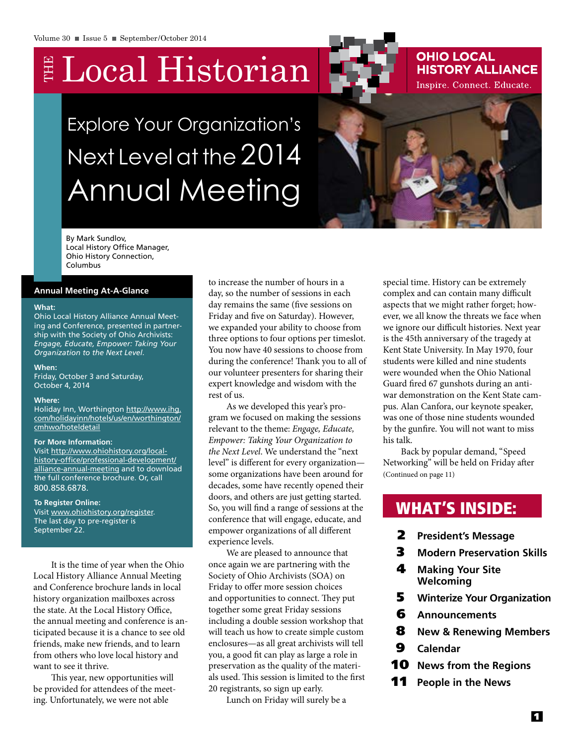# $\mathbb H$  Local Historian

Explore Your Organization's Next Level at the 2014 Annual Meeting



By Mark Sundlov, Local History Office Manager, Ohio History Connection, Columbus

#### **Annual Meeting At-A-Glance**

#### **What:**

Ohio Local History Alliance Annual Meeting and Conference, presented in partnership with the Society of Ohio Archivists: *Engage, Educate, Empower: Taking Your Organization to the Next Level*.

#### **When:**

Friday, October 3 and Saturday, October 4, 2014

#### **Where:**

Holiday Inn, Worthington http://www.ihg. com/holidayinn/hotels/us/en/worthington/ cmhwo/hoteldetail

#### **For More Information:**

Visit http://www.ohiohistory.org/localhistory-office/professional-development/ alliance-annual-meeting and to download the full conference brochure. Or, call 800.858.6878.

#### **To Register Online:**

Visit www.ohiohistory.org/register. The last day to pre-register is September 22.

It is the time of year when the Ohio Local History Alliance Annual Meeting and Conference brochure lands in local history organization mailboxes across the state. At the Local History Office, the annual meeting and conference is anticipated because it is a chance to see old friends, make new friends, and to learn from others who love local history and want to see it thrive.

This year, new opportunities will be provided for attendees of the meeting. Unfortunately, we were not able

to increase the number of hours in a day, so the number of sessions in each day remains the same (five sessions on Friday and five on Saturday). However, we expanded your ability to choose from three options to four options per timeslot. You now have 40 sessions to choose from during the conference! Thank you to all of our volunteer presenters for sharing their expert knowledge and wisdom with the rest of us.

As we developed this year's program we focused on making the sessions relevant to the theme: *Engage, Educate, Empower: Taking Your Organization to the Next Level*. We understand the "next level" is different for every organization some organizations have been around for decades, some have recently opened their doors, and others are just getting started. So, you will find a range of sessions at the conference that will engage, educate, and empower organizations of all different experience levels.

We are pleased to announce that once again we are partnering with the Society of Ohio Archivists (SOA) on Friday to offer more session choices and opportunities to connect. They put together some great Friday sessions including a double session workshop that will teach us how to create simple custom enclosures—as all great archivists will tell you, a good fit can play as large a role in preservation as the quality of the materials used. This session is limited to the first 20 registrants, so sign up early.

Lunch on Friday will surely be a

special time. History can be extremely complex and can contain many difficult aspects that we might rather forget; however, we all know the threats we face when we ignore our difficult histories. Next year is the 45th anniversary of the tragedy at Kent State University. In May 1970, four students were killed and nine students were wounded when the Ohio National Guard fired 67 gunshots during an antiwar demonstration on the Kent State campus. Alan Canfora, our keynote speaker, was one of those nine students wounded by the gunfire. You will not want to miss his talk.

Back by popular demand, "Speed Networking" will be held on Friday after (Continued on page 11)

# WHAT'S INSIDE:

- 2 **President's Message**
- 3 **Modern Preservation Skills**
- 4 **Making Your Site Welcoming**
- 5 **Winterize Your Organization**
- 6 **Announcements**
- 8 **New & Renewing Members**
- 9 **Calendar**
- 10 **News from the Regions**
- 11 **People in the News**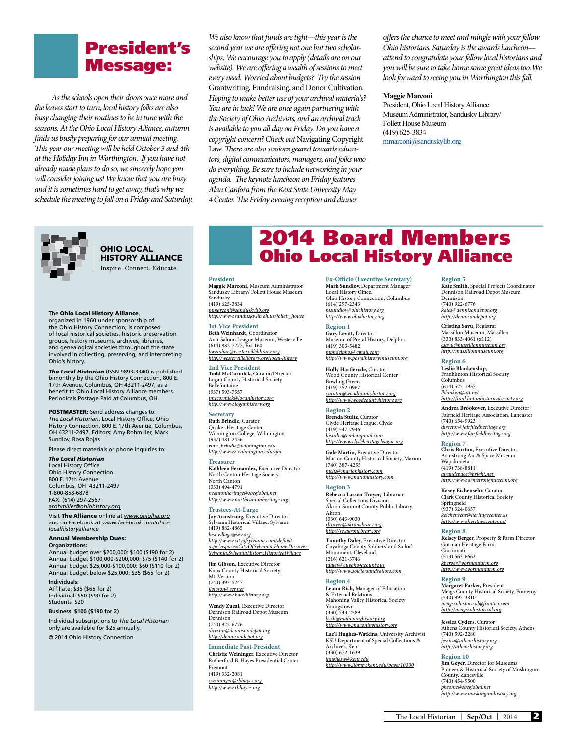# President's Message:

*As the schools open their doors once more and the leaves start to turn, local history folks are also busy changing their routines to be in tune with the seasons. At the Ohio Local History Alliance, autumn finds us busily preparing for our annual meeting. This year our meeting will be held October 3 and 4th at the Holiday Inn in Worthington. If you have not already made plans to do so, we sincerely hope you will consider joining us! We know that you are busy and it is sometimes hard to get away, that's why we schedule the meeting to fall on a Friday and Saturday.* 

**OHIO LOCAL HISTORY ALLIANCE** Inspire. Connect. Educate.

### The **Ohio Local History Alliance**,<br>organized in 1960 under sponsorship of

the Ohio History Connection, is composed of local historical societies, historic preservation groups, history museums, archives, libraries, and genealogical societies throughout the state involved in collecting, preserving, and interpreting Ohio's history.

*The Local Historian* (ISSN 9893-3340) is published bimonthly by the Ohio History Connection, 800 E. 17th Avenue, Columbus, OH 43211-2497, as a benefit to Ohio Local History Alliance members. Periodicals Postage Paid at Columbus, OH.

POSTMASTER: Send address changes to: *The Local Historian*, Local History Office, Ohio History Connection, 800 E. 17th Avenue, Columbus, OH 43211-2497. Editors: Amy Rohmiller, Mark Sundlov, Rosa Rojas

Please direct materials or phone inquiries to:

*The Local Historian*

Local History Office Ohio History Connection 800 E. 17th Avenue Columbus, OH 43211-2497 1-800-858-6878 FAX: (614) 297-2567 *arohmiller@ohiohistory.org*

Visit The Alliance online at *www.ohiolha.org* and on Facebook at *www.facebook.com/ohiolocalhistoryalliance*

#### Annual Membership Dues:

**Organizations:** Annual budget over \$200,000: \$100 (\$190 for 2) Annual budget \$100,000-\$200,000: \$75 (\$140 for 2) Annual budget \$25,000-\$100,000: \$60 (\$110 for 2) Annual budget below \$25,000: \$35 (\$65 for 2)

**Individuals:** Affiliate: \$35 (\$65 for 2) Individual: \$50 (\$90 for 2) Students: \$20

#### **Business: \$100 (\$190 for 2)**

Individual subscriptions to *The Local Historian* only are available for \$25 annually. © 2014 Ohio History Connection

*We also know that funds are tight—this year is the second year we are offering not one but two scholarships. We encourage you to apply (details are on our website). We are offering a wealth of sessions to meet every need. Worried about budgets? Try the session*  Grantwriting, Fundraising, and Donor Cultivation*. Hoping to make better use of your archival materials? You are in luck! We are once again partnering with the Society of Ohio Archivists, and an archival track is available to you all day on Friday. Do you have a copyright concern? Check out* Navigating Copyright Law*. There are also sessions geared towards educators, digital communicators, managers, and folks who do everything. Be sure to include networking in your agenda. The keynote luncheon on Friday features Alan Canfora from the Kent State University May 4 Center. The Friday evening reception and dinner* 

*offers the chance to meet and mingle with your fellow Ohio historians. Saturday is the awards luncheon attend to congratulate your fellow local historians and you will be sure to take home some great ideas too.We look forward to seeing you in Worthington this fall.*

#### **Maggie Marconi**

President, Ohio Local History Alliance Museum Administrator, Sandusky Library/ Follett House Museum (419) 625-3834 mmarconi@sanduskylib.org

# 2014 Board Members Ohio Local History Alliance

#### **President**

**Maggie Marconi,** Museum Administrator Sandusky Library/ Follett House Museum Sandusky  $(419)$  625-3834 *mmarconi@sanduskylib.org http://www.sandusky.lib.oh.us/follett\_house*

**1st Vice President Beth Weinhardt,** Coordinator

Anti-Saloon League Museum, Westerville (614) 882-7277, Ext 160 *bweinhar@westervillelibrary.org http://westervillelibrary.org/local-history*

**2nd Vice President Todd McCormick,** Curator/Director Logan County Historical Society Bellefontaine (937) 593-7557 *tmccormick@loganhistory.org http://www.loganhistory.org*

**Secretary Ruth Brindle,** Curator Quaker Heritage Center Wilmington College, Wilmington (937) 481-2456 *ruth\_brindle@wilmington.edu*

*http://www2.wilmington.edu/qhc* **Treasurer Kathleen Fernandez,** Executive Director North Canton Heritage Society North Canton

(330) 494-4791 *ncantonheritage@sbcglobal.net http://www.northcantonheritage.org*

**Trustees-At-Large Joy Armstrong,** Executive Director Sylvania Historical Village, Sylvania (419) 882-4865 *hist.village@sev.org http://www.cityofsylvania.com/default. aspx?nspace=CityOfSylvania.Home.Discover-Sylvania.SylvaniaHistory.HistoricalVillage*

**Jim Gibson,** Executive Director Knox County Historical Society Mt. Vernon (740) 393-5247 *jlgibson@ecr.net http://www.knoxhistory.org*

**Wendy Zucal,** Executive Director Dennison Railroad Depot Museum Dennison (740) 922-6776 *director@dennisondepot.org http://dennisondepot.org*

#### **Immediate Past-President**

**Christie Weininger,** Executive Director Rutherford B. Hayes Presidential Center Fremont (419) 332-2081

*cweininger@rbhayes.org http://www.rbhayes.org*

**Ex-Officio (Executive Secretary) Mark Sundlov,** Department Manager Local History Office, Ohio History Connection, Columbus (614) 297-2343 *msundlov@ohiohistory.org http://www.ohiohistory.org*

**Region 1 Gary Levitt,** Director Museum of Postal History, Delphos (419) 303-5482

*mphdelphos@gmail.com http://www.postalhistorymuseum.org*

**Holly Hartlerode,** Curator Wood County Historical Center Bowling Green (419) 352-0967

*curator@woodcountyhistory.org http://www.woodcountyhistory.org* **Region 2**

**Brenda Stultz,** Curator Clyde Heritage League, Clyde (419) 547-7946 *bjstultz@embarqmail.com* http://www.clydeheritagele

**Gale Martin,** Executive Director Marion County Historical Society, Marion (740) 387- 4255 *mchs@marionhistory.com http://www.marionhistory.com*

**Region 3**

**Rebecca Larson-Troyer,** Librarian Special Collections Division Akron-Summit County Public Library Akron

(330) 643-9030 *rltroyer@akronlibrary.org http://sc.akronlibrary.org*

**Timothy Daley,** Executive Director Cuyahoga County Soldiers' and Sailor' Monument, Cleveland нонанин, елек<br>(216) 621-3746<br><u>tdaley@cu</u>yahova *tdaley@cuyahogacounty.us http://www.soldiersandsailors.com*

**Region 4**

**Leann Rich,** Manager of Education & External Relations Mahoning Valley Historical Society Youngstown (330) 743-2589 *lrich@mahoninghistory.org http://www.mahoninghistory.org*

**Lae'l Hughes-Watkins,** University Archivist KSU Department of Special Collections & Archives, Kent (330) 672-1639 *lhughesw@kent.edu http://www.library.kent.edu/page/10300*

**Region 5**

**Kate Smith,** Special Projects Coordinator Dennison Railroad Depot Museum Dennison (740) 922-6776

*kates@dennisondepot.org http://dennisondepot.org*

**Cristina Savu,** Registrar Massillon Museum, Massillon (330) 833-4061 (x112) *csavu@massillonmuseum.org http://massillonmuseum.org*

#### **Region 6**

**Leslie Blankenship,**<br>Franklinton Historical Society<br>Columbus (614) 527-1957 *lblanken@att.net http://franklintonhistoricalsociety.org*

**Andrea Brookover,** Executive Director Fairfield Heritage Association, Lancaster (740) 654-9923 *director@fairfiledheritage.org http://www.fairfieldheritage.org*

**Region 7 Chris Burton,** Executive Director Armstrong Air & Space Museum Wapakoneta (419) 738-8811 *airandspace@bright.net http://www.armstrongmuseum.org*

**Kasey Eichensehr,** Curator Clark County Historical Society Springfield (937) 324-0657 *keichensehr@heritagecenter.us http://www.heritagecenter.us/*

#### **Region 8**

**Kelsey Berger,** Property & Farm Director Gorman Heritage Farm Cincinnati (513) 563-6663 *kberger@gormanfarm.org http://www.gormanfarm.org*

#### **Region 9**

**Margaret Parker,** President Meigs County Historical Society, Pomeroy  $(740)$  992-3810 *meigscohistorical@frontier.com http://meigscohistorical.org*

**Jessica Cyders,** Curator Athens County Historical Society, Athens (740) 592-2280 *jessica@athenshistory.org http://athenshistory.org*

#### **Region 10**

**Jim Geyer,** Director for Museums Pioneer & Historical Society of Muskingum County, Zanesville (740) 454-9500 *phsomc@sbcglobal.net http://www.muskingumhistory.org*

2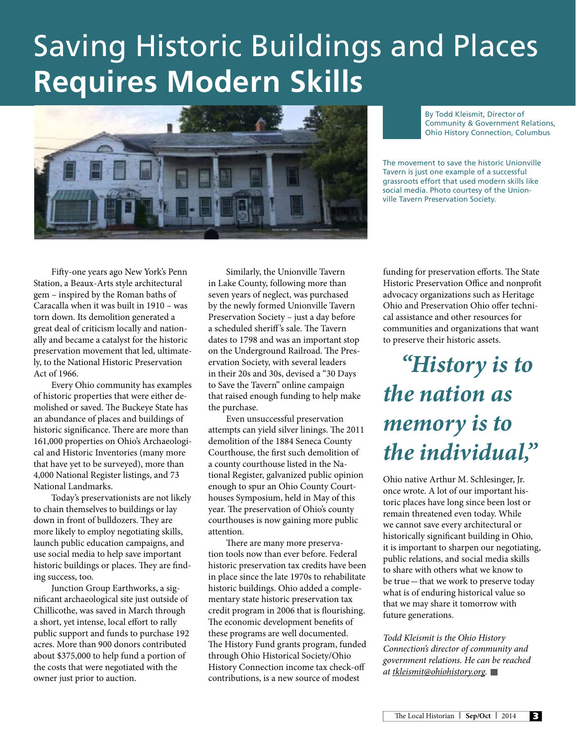# Saving Historic Buildings and Places **Requires Modern Skills**



By Todd Kleismit, Director of Community & Government Relations, Ohio History Connection, Columbus

The movement to save the historic Unionville Tavern is just one example of a successful grassroots effort that used modern skills like social media. Photo courtesy of the Unionville Tavern Preservation Society.

Fifty-one years ago New York's Penn Station, a Beaux-Arts style architectural gem – inspired by the Roman baths of Caracalla when it was built in 1910 – was torn down. Its demolition generated a great deal of criticism locally and nationally and became a catalyst for the historic preservation movement that led, ultimately, to the National Historic Preservation Act of 1966.

Every Ohio community has examples of historic properties that were either demolished or saved. The Buckeye State has an abundance of places and buildings of historic significance. There are more than 161,000 properties on Ohio's Archaeological and Historic Inventories (many more that have yet to be surveyed), more than 4,000 National Register listings, and 73 National Landmarks.

Today's preservationists are not likely to chain themselves to buildings or lay down in front of bulldozers. They are more likely to employ negotiating skills, launch public education campaigns, and use social media to help save important historic buildings or places. They are finding success, too.

Junction Group Earthworks, a significant archaeological site just outside of Chillicothe, was saved in March through a short, yet intense, local effort to rally public support and funds to purchase 192 acres. More than 900 donors contributed about \$375,000 to help fund a portion of the costs that were negotiated with the owner just prior to auction.

Similarly, the Unionville Tavern in Lake County, following more than seven years of neglect, was purchased by the newly formed Unionville Tavern Preservation Society – just a day before a scheduled sheriff 's sale. The Tavern dates to 1798 and was an important stop on the Underground Railroad. The Preservation Society, with several leaders in their 20s and 30s, devised a "30 Days to Save the Tavern" online campaign that raised enough funding to help make the purchase.

Even unsuccessful preservation attempts can yield silver linings. The 2011 demolition of the 1884 Seneca County Courthouse, the first such demolition of a county courthouse listed in the National Register, galvanized public opinion enough to spur an Ohio County Courthouses Symposium, held in May of this year. The preservation of Ohio's county courthouses is now gaining more public attention.

There are many more preservation tools now than ever before. Federal historic preservation tax credits have been in place since the late 1970s to rehabilitate historic buildings. Ohio added a complementary state historic preservation tax credit program in 2006 that is flourishing. The economic development benefits of these programs are well documented. The History Fund grants program, funded through Ohio Historical Society/Ohio History Connection income tax check-off contributions, is a new source of modest

funding for preservation efforts. The State Historic Preservation Office and nonprofit advocacy organizations such as Heritage Ohio and Preservation Ohio offer technical assistance and other resources for communities and organizations that want to preserve their historic assets.

*"History is to the nation as memory is to the individual,"*

Ohio native Arthur M. Schlesinger, Jr. once wrote. A lot of our important historic places have long since been lost or remain threatened even today. While we cannot save every architectural or historically significant building in Ohio, it is important to sharpen our negotiating, public relations, and social media skills to share with others what we know to be true - that we work to preserve today what is of enduring historical value so that we may share it tomorrow with future generations.

*Todd Kleismit is the Ohio History Connection's director of community and government relations. He can be reached at tkleismit@ohiohistory.org.*

3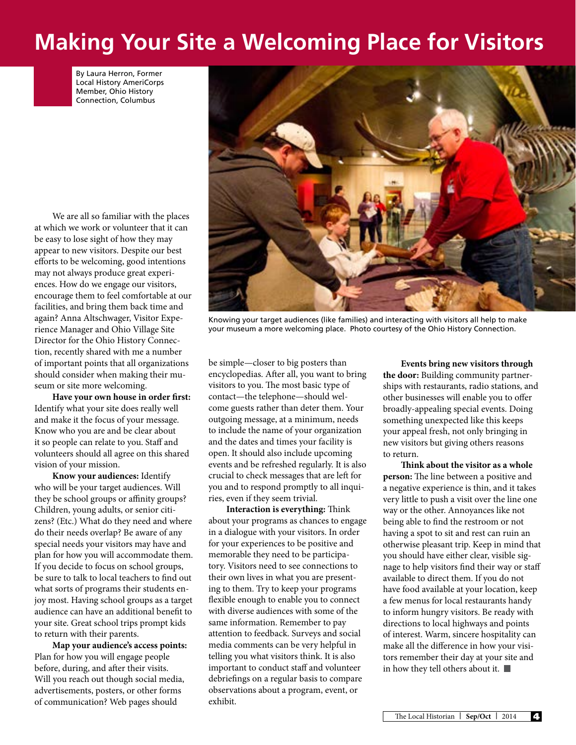# **Making Your Site a Welcoming Place for Visitors**

By Laura Herron, Former Local History AmeriCorps Member, Ohio History Connection, Columbus

We are all so familiar with the places at which we work or volunteer that it can be easy to lose sight of how they may appear to new visitors. Despite our best efforts to be welcoming, good intentions may not always produce great experiences. How do we engage our visitors, encourage them to feel comfortable at our facilities, and bring them back time and again? Anna Altschwager, Visitor Experience Manager and Ohio Village Site Director for the Ohio History Connection, recently shared with me a number of important points that all organizations should consider when making their museum or site more welcoming.

**Have your own house in order first:** Identify what your site does really well and make it the focus of your message. Know who you are and be clear about it so people can relate to you. Staff and volunteers should all agree on this shared vision of your mission.

**Know your audiences:** Identify who will be your target audiences. Will they be school groups or affinity groups? Children, young adults, or senior citizens? (Etc.) What do they need and where do their needs overlap? Be aware of any special needs your visitors may have and plan for how you will accommodate them. If you decide to focus on school groups, be sure to talk to local teachers to find out what sorts of programs their students enjoy most. Having school groups as a target audience can have an additional benefit to your site. Great school trips prompt kids to return with their parents.

**Map your audience's access points:**  Plan for how you will engage people before, during, and after their visits. Will you reach out though social media, advertisements, posters, or other forms of communication? Web pages should



Knowing your target audiences (like families) and interacting with visitors all help to make your museum a more welcoming place. Photo courtesy of the Ohio History Connection.

be simple—closer to big posters than encyclopedias. After all, you want to bring visitors to you. The most basic type of contact—the telephone—should welcome guests rather than deter them. Your outgoing message, at a minimum, needs to include the name of your organization and the dates and times your facility is open. It should also include upcoming events and be refreshed regularly. It is also crucial to check messages that are left for you and to respond promptly to all inquiries, even if they seem trivial.

**Interaction is everything:** Think about your programs as chances to engage in a dialogue with your visitors. In order for your experiences to be positive and memorable they need to be participatory. Visitors need to see connections to their own lives in what you are presenting to them. Try to keep your programs flexible enough to enable you to connect with diverse audiences with some of the same information. Remember to pay attention to feedback. Surveys and social media comments can be very helpful in telling you what visitors think. It is also important to conduct staff and volunteer debriefings on a regular basis to compare observations about a program, event, or exhibit.

**Events bring new visitors through the door:** Building community partnerships with restaurants, radio stations, and other businesses will enable you to offer broadly-appealing special events. Doing something unexpected like this keeps your appeal fresh, not only bringing in new visitors but giving others reasons to return.

**Think about the visitor as a whole person:** The line between a positive and a negative experience is thin, and it takes very little to push a visit over the line one way or the other. Annoyances like not being able to find the restroom or not having a spot to sit and rest can ruin an otherwise pleasant trip. Keep in mind that you should have either clear, visible signage to help visitors find their way or staff available to direct them. If you do not have food available at your location, keep a few menus for local restaurants handy to inform hungry visitors. Be ready with directions to local highways and points of interest. Warm, sincere hospitality can make all the difference in how your visitors remember their day at your site and in how they tell others about it.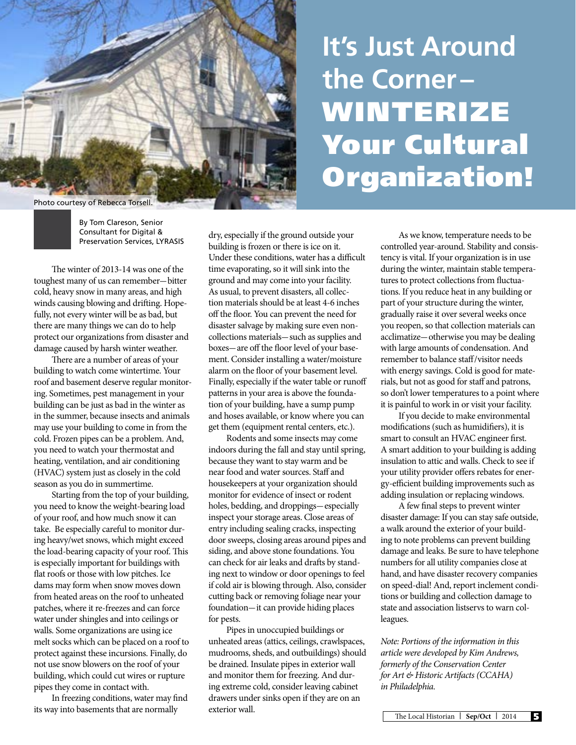

# **It's Just Around the Corner–**  WINTERIZE Your Cultural Organization!



By Tom Clareson, Senior Consultant for Digital &

The winter of 2013-14 was one of the toughest many of us can remember-bitter cold, heavy snow in many areas, and high winds causing blowing and drifting. Hopefully, not every winter will be as bad, but there are many things we can do to help protect our organizations from disaster and damage caused by harsh winter weather.

There are a number of areas of your building to watch come wintertime. Your roof and basement deserve regular monitoring. Sometimes, pest management in your building can be just as bad in the winter as in the summer, because insects and animals may use your building to come in from the cold. Frozen pipes can be a problem. And, you need to watch your thermostat and heating, ventilation, and air conditioning (HVAC) system just as closely in the cold season as you do in summertime.

Starting from the top of your building, you need to know the weight-bearing load of your roof, and how much snow it can take. Be especially careful to monitor during heavy/wet snows, which might exceed the load-bearing capacity of your roof. This is especially important for buildings with flat roofs or those with low pitches. Ice dams may form when snow moves down from heated areas on the roof to unheated patches, where it re-freezes and can force water under shingles and into ceilings or walls. Some organizations are using ice melt socks which can be placed on a roof to protect against these incursions. Finally, do not use snow blowers on the roof of your building, which could cut wires or rupture pipes they come in contact with.

In freezing conditions, water may find its way into basements that are normally

Consuitant for Digital & dry, especially if the ground outside your As we know, temperature needs to be<br>Preservation Services, LYRASIS hail line is forger anthonois is an it as a spatually dry as we know, temperatur building is frozen or there is ice on it. Under these conditions, water has a difficult time evaporating, so it will sink into the ground and may come into your facility. As usual, to prevent disasters, all collection materials should be at least 4-6 inches off the floor. You can prevent the need for disaster salvage by making sure even noncollections materials-such as supplies and boxes-are off the floor level of your basement. Consider installing a water/moisture alarm on the floor of your basement level. Finally, especially if the water table or runoff patterns in your area is above the foundation of your building, have a sump pump and hoses available, or know where you can get them (equipment rental centers, etc.).

> Rodents and some insects may come indoors during the fall and stay until spring, because they want to stay warm and be near food and water sources. Staff and housekeepers at your organization should monitor for evidence of insect or rodent holes, bedding, and droppings-especially inspect your storage areas. Close areas of entry including sealing cracks, inspecting door sweeps, closing areas around pipes and siding, and above stone foundations. You can check for air leaks and drafts by standing next to window or door openings to feel if cold air is blowing through. Also, consider cutting back or removing foliage near your foundation-it can provide hiding places for pests.

> Pipes in unoccupied buildings or unheated areas (attics, ceilings, crawlspaces, mudrooms, sheds, and outbuildings) should be drained. Insulate pipes in exterior wall and monitor them for freezing. And during extreme cold, consider leaving cabinet drawers under sinks open if they are on an exterior wall.

controlled year-around. Stability and consistency is vital. If your organization is in use during the winter, maintain stable temperatures to protect collections from fluctuations. If you reduce heat in any building or part of your structure during the winter, gradually raise it over several weeks once you reopen, so that collection materials can acclimatize-otherwise you may be dealing with large amounts of condensation. And remember to balance staff/visitor needs with energy savings. Cold is good for materials, but not as good for staff and patrons, so don't lower temperatures to a point where it is painful to work in or visit your facility.

If you decide to make environmental modifications (such as humidifiers), it is smart to consult an HVAC engineer first. A smart addition to your building is adding insulation to attic and walls. Check to see if your utility provider offers rebates for energy-efficient building improvements such as adding insulation or replacing windows.

A few final steps to prevent winter disaster damage: If you can stay safe outside, a walk around the exterior of your building to note problems can prevent building damage and leaks. Be sure to have telephone numbers for all utility companies close at hand, and have disaster recovery companies on speed-dial! And, report inclement conditions or building and collection damage to state and association listservs to warn colleagues.

*Note: Portions of the information in this article were developed by Kim Andrews, formerly of the Conservation Center for Art & Historic Artifacts (CCAHA) in Philadelphia.*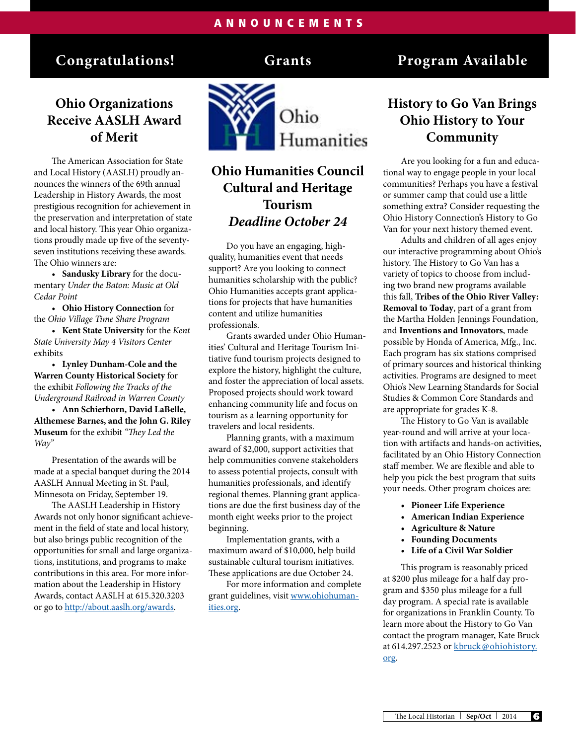# **Congratulations!**

# **Ohio Organizations Receive AASLH Award of Merit**

The American Association for State and Local History (AASLH) proudly announces the winners of the 69th annual Leadership in History Awards, the most prestigious recognition for achievement in the preservation and interpretation of state and local history. This year Ohio organizations proudly made up five of the seventyseven institutions receiving these awards. The Ohio winners are:

 • **Sandusky Library** for the documentary *Under the Baton: Music at Old Cedar Point*

 • **Ohio History Connection** for the *Ohio Village Time Share Program*

 • **Kent State University** for the *Kent State University May 4 Visitors Center* exhibits

 • **Lynley Dunham-Cole and the Warren County Historical Society** for the exhibit *Following the Tracks of the Underground Railroad in Warren County*

 • **Ann Schierhorn, David LaBelle, Althemese Barnes, and the John G. Riley Museum** for the exhibit *"They Led the Way"*

Presentation of the awards will be made at a special banquet during the 2014 AASLH Annual Meeting in St. Paul, Minnesota on Friday, September 19.

The AASLH Leadership in History Awards not only honor significant achievement in the field of state and local history, but also brings public recognition of the opportunities for small and large organizations, institutions, and programs to make contributions in this area. For more information about the Leadership in History Awards, contact AASLH at 615.320.3203 or go to http://about.aaslh.org/awards.



# **Ohio Humanities Council Cultural and Heritage Tourism**  *Deadline October 24*

Do you have an engaging, highquality, humanities event that needs support? Are you looking to connect humanities scholarship with the public? Ohio Humanities accepts grant applications for projects that have humanities content and utilize humanities professionals.

Grants awarded under Ohio Humanities' Cultural and Heritage Tourism Initiative fund tourism projects designed to explore the history, highlight the culture, and foster the appreciation of local assets. Proposed projects should work toward enhancing community life and focus on tourism as a learning opportunity for travelers and local residents.

Planning grants, with a maximum award of \$2,000, support activities that help communities convene stakeholders to assess potential projects, consult with humanities professionals, and identify regional themes. Planning grant applications are due the first business day of the month eight weeks prior to the project beginning.

Implementation grants, with a maximum award of \$10,000, help build sustainable cultural tourism initiatives. These applications are due October 24.

For more information and complete grant guidelines, visit www.ohiohumanities.org.

# **History to Go Van Brings Ohio History to Your Community**

Are you looking for a fun and educational way to engage people in your local communities? Perhaps you have a festival or summer camp that could use a little something extra? Consider requesting the Ohio History Connection's History to Go Van for your next history themed event.

Adults and children of all ages enjoy our interactive programming about Ohio's history. The History to Go Van has a variety of topics to choose from including two brand new programs available this fall, **Tribes of the Ohio River Valley: Removal to Today**, part of a grant from the Martha Holden Jennings Foundation, and **Inventions and Innovators**, made possible by Honda of America, Mfg., Inc. Each program has six stations comprised of primary sources and historical thinking activities. Programs are designed to meet Ohio's New Learning Standards for Social Studies & Common Core Standards and are appropriate for grades K-8.

The History to Go Van is available year-round and will arrive at your location with artifacts and hands-on activities, facilitated by an Ohio History Connection staff member. We are flexible and able to help you pick the best program that suits your needs. Other program choices are:

- **• Pioneer Life Experience**
- **• American Indian Experience**
- **• Agriculture & Nature**
- **• Founding Documents**
- **• Life of a Civil War Soldier**

This program is reasonably priced at \$200 plus mileage for a half day program and \$350 plus mileage for a full day program. A special rate is available for organizations in Franklin County. To learn more about the History to Go Van contact the program manager, Kate Bruck at 614.297.2523 or kbruck@ohiohistory. org.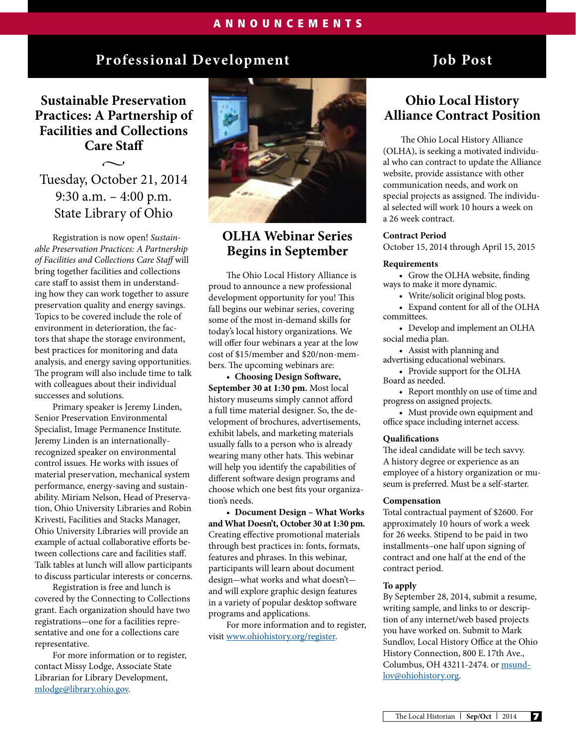# **Professional Development**

# **Job Post**

# **Sustainable Preservation Practices: A Partnership of Facilities and Collections Care Staff**

 $\sim$ Tuesday, October 21, 2014 9:30 a.m. – 4:00 p.m. State Library of Ohio

 Registration is now open! *Sustainable Preservation Practices: A Partnership of Facilities and Collections Care Staff* will bring together facilities and collections care staff to assist them in understanding how they can work together to assure preservation quality and energy savings. Topics to be covered include the role of environment in deterioration, the factors that shape the storage environment, best practices for monitoring and data analysis, and energy saving opportunities. The program will also include time to talk with colleagues about their individual successes and solutions.

 Primary speaker is Jeremy Linden, Senior Preservation Environmental Specialist, Image Permanence Institute. Jeremy Linden is an internationallyrecognized speaker on environmental control issues. He works with issues of material preservation, mechanical system performance, energy-saving and sustainability. Miriam Nelson, Head of Preservation, Ohio University Libraries and Robin Krivesti, Facilities and Stacks Manager, Ohio University Libraries will provide an example of actual collaborative efforts between collections care and facilities staff. Talk tables at lunch will allow participants to discuss particular interests or concerns.

 Registration is free and lunch is covered by the Connecting to Collections grant. Each organization should have two registrations-one for a facilities representative and one for a collections care representative.

 For more information or to register, contact Missy Lodge, Associate State Librarian for Library Development, mlodge@library.ohio.gov.



# **OLHA Webinar Series Begins in September**

 The Ohio Local History Alliance is proud to announce a new professional development opportunity for you! This fall begins our webinar series, covering some of the most in-demand skills for today's local history organizations. We will offer four webinars a year at the low cost of \$15/member and \$20/non-members. The upcoming webinars are:

 • **Choosing Design Software, September 30 at 1:30 pm.** Most local history museums simply cannot afford a full time material designer. So, the development of brochures, advertisements, exhibit labels, and marketing materials usually falls to a person who is already wearing many other hats. This webinar will help you identify the capabilities of different software design programs and choose which one best fits your organization's needs.

 • **Document Design – What Works and What Doesn't, October 30 at 1:30 pm.**  Creating effective promotional materials through best practices in: fonts, formats, features and phrases. In this webinar, participants will learn about document design-what works and what doesn'tand will explore graphic design features in a variety of popular desktop software programs and applications.

 For more information and to register, visit www.ohiohistory.org/register.

# **Ohio Local History Alliance Contract Position**

The Ohio Local History Alliance (OLHA), is seeking a motivated individual who can contract to update the Alliance website, provide assistance with other communication needs, and work on special projects as assigned. The individual selected will work 10 hours a week on a 26 week contract.

#### **Contract Period**

October 15, 2014 through April 15, 2015

#### **Requirements**

 • Grow the OLHA website, finding ways to make it more dynamic.

 • Write/solicit original blog posts. 

• Expand content for all of the OLHA committees.

• Develop and implement an OLHA social media plan.

 • Assist with planning and advertising educational webinars.

• Provide support for the OLHA Board as needed.

• Report monthly on use of time and progress on assigned projects.

 • Must provide own equipment and office space including internet access.

#### **Qualifications**

The ideal candidate will be tech savvy. A history degree or experience as an employee of a history organization or museum is preferred. Must be a self-starter.

#### **Compensation**

Total contractual payment of \$2600. For approximately 10 hours of work a week for 26 weeks. Stipend to be paid in two installments–one half upon signing of contract and one half at the end of the contract period.

#### **To apply**

By September 28, 2014, submit a resume, writing sample, and links to or description of any internet/web based projects you have worked on. Submit to Mark Sundlov, Local History Office at the Ohio History Connection, 800 E. 17th Ave., Columbus, OH 43211-2474. or msundlov@ohiohistory.org.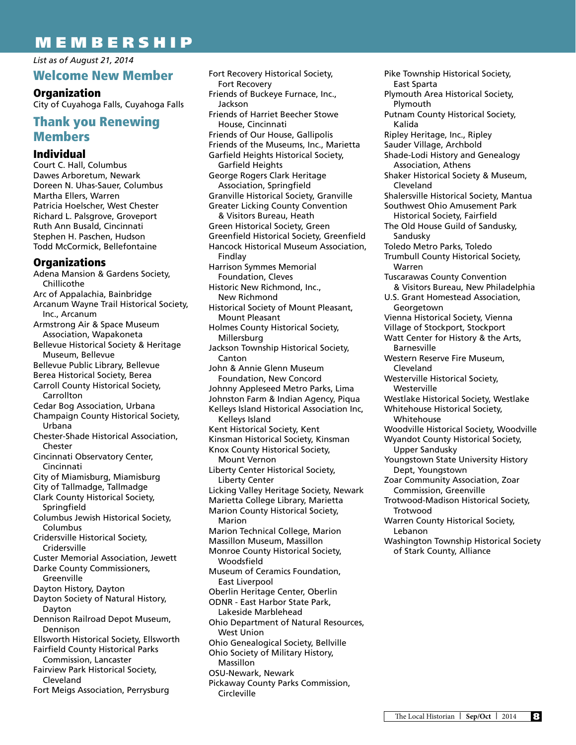# MEMBERSHIP

*List as of August 21, 2014*

### Welcome New Member

#### **Organization**

City of Cuyahoga Falls, Cuyahoga Falls

# Thank you Renewing Members

#### Individual

Court C. Hall, Columbus Dawes Arboretum, Newark Doreen N. Uhas-Sauer, Columbus Martha Ellers, Warren Patricia Hoelscher, West Chester Richard L. Palsgrove, Groveport Ruth Ann Busald, Cincinnati Stephen H. Paschen, Hudson Todd McCormick, Bellefontaine

#### **Organizations**

Adena Mansion & Gardens Society, Chillicothe Arc of Appalachia, Bainbridge Arcanum Wayne Trail Historical Society, Inc., Arcanum Armstrong Air & Space Museum Association, Wapakoneta Bellevue Historical Society & Heritage Museum, Bellevue Bellevue Public Library, Bellevue Berea Historical Society, Berea Carroll County Historical Society, **Carrollton** Cedar Bog Association, Urbana Champaign County Historical Society, Urbana Chester-Shade Historical Association, Chester Cincinnati Observatory Center, Cincinnati City of Miamisburg, Miamisburg City of Tallmadge, Tallmadge Clark County Historical Society, Springfield Columbus Jewish Historical Society, Columbus Cridersville Historical Society, Cridersville Custer Memorial Association, Jewett Darke County Commissioners, Greenville Dayton History, Dayton Dayton Society of Natural History, Dayton Dennison Railroad Depot Museum, Dennison Ellsworth Historical Society, Ellsworth Fairfield County Historical Parks Commission, Lancaster Fairview Park Historical Society, Cleveland Fort Meigs Association, Perrysburg

Fort Recovery Historical Society, Fort Recovery Friends of Buckeye Furnace, Inc., Jackson Friends of Harriet Beecher Stowe House, Cincinnati Friends of Our House, Gallipolis Friends of the Museums, Inc., Marietta Garfield Heights Historical Society, Garfield Heights George Rogers Clark Heritage Association, Springfield Granville Historical Society, Granville Greater Licking County Convention & Visitors Bureau, Heath Green Historical Society, Green Greenfield Historical Society, Greenfield Hancock Historical Museum Association, Findlay Harrison Symmes Memorial Foundation, Cleves Historic New Richmond, Inc., New Richmond Historical Society of Mount Pleasant, Mount Pleasant Holmes County Historical Society, Millersburg Jackson Township Historical Society, Canton John & Annie Glenn Museum Foundation, New Concord Johnny Appleseed Metro Parks, Lima Johnston Farm & Indian Agency, Piqua Kelleys Island Historical Association Inc, Kelleys Island Kent Historical Society, Kent Kinsman Historical Society, Kinsman Knox County Historical Society, Mount Vernon Liberty Center Historical Society, Liberty Center Licking Valley Heritage Society, Newark Marietta College Library, Marietta Marion County Historical Society, Marion Marion Technical College, Marion Massillon Museum, Massillon Monroe County Historical Society, Woodsfield Museum of Ceramics Foundation, East Liverpool Oberlin Heritage Center, Oberlin ODNR - East Harbor State Park, Lakeside Marblehead Ohio Department of Natural Resources, West Union Ohio Genealogical Society, Bellville Ohio Society of Military History, **Massillon** OSU-Newark, Newark Pickaway County Parks Commission, **Circleville** 

Pike Township Historical Society, East Sparta Plymouth Area Historical Society, Plymouth Putnam County Historical Society, Kalida Ripley Heritage, Inc., Ripley Sauder Village, Archbold Shade-Lodi History and Genealogy Association, Athens Shaker Historical Society & Museum, Cleveland Shalersville Historical Society, Mantua Southwest Ohio Amusement Park Historical Society, Fairfield The Old House Guild of Sandusky, Sandusky Toledo Metro Parks, Toledo Trumbull County Historical Society, Warren Tuscarawas County Convention & Visitors Bureau, New Philadelphia U.S. Grant Homestead Association, **Georgetown** Vienna Historical Society, Vienna Village of Stockport, Stockport Watt Center for History & the Arts, Barnesville Western Reserve Fire Museum, Cleveland Westerville Historical Society, Westerville Westlake Historical Society, Westlake Whitehouse Historical Society, **Whitehouse** Woodville Historical Society, Woodville Wyandot County Historical Society, Upper Sandusky Youngstown State University History Dept, Youngstown Zoar Community Association, Zoar Commission, Greenville Trotwood-Madison Historical Society, Trotwood Warren County Historical Society, Lebanon Washington Township Historical Society of Stark County, Alliance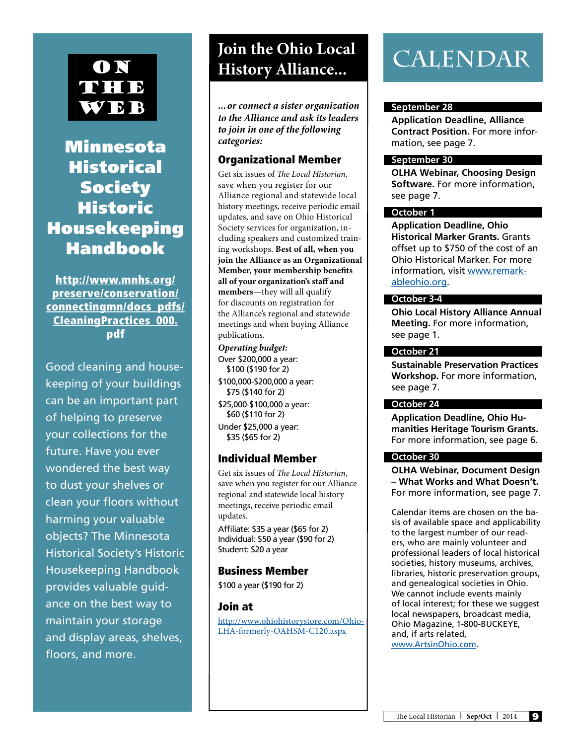# **ON** The s WEB

Minnesota **Historical Society** Historic Housekeeping Handbook

http://www.mnhs.org/ preserve/conservation/ connectingmn/docs\_pdfs/ CleaningPractices\_000. pdf

Good cleaning and housekeeping of your buildings can be an important part of helping to preserve your collections for the future. Have you ever wondered the best way to dust your shelves or clean your floors without harming your valuable objects? The Minnesota Historical Society's Historic Housekeeping Handbook provides valuable guidance on the best way to maintain your storage and display areas, shelves, floors, and more.

# **Join the Ohio Local History Alliance...**

*...or connect a sister organization to the Alliance and ask its leaders to join in one of the following categories:*

# Organizational Member

Get six issues of *The Local Historian,* save when you register for our Alliance regional and statewide local history meetings, receive periodic email updates, and save on Ohio Historical Society services for organization, including speakers and customized training workshops. **Best of all, when you join the Alliance as an Organizational Member, your membership benefits all of your organization's staff and members**—they will all qualify for discounts on registration for the Alliance's regional and statewide meetings and when buying Alliance publications.

*Operating budget:* Over \$200,000 a year: \$100 (\$190 for 2) \$100,000-\$200,000 a year: \$75 (\$140 for 2) \$25,000-\$100,000 a year: \$60 (\$110 for 2) Under \$25,000 a year: \$35 (\$65 for 2)

# Individual Member

Get six issues of *The Local Historian*, save when you register for our Alliance regional and statewide local history meetings, receive periodic email updates.

Affiliate: \$35 a year (\$65 for 2) Individual: \$50 a year (\$90 for 2) Student: \$20 a year

# Business Member

\$100 a year (\$190 for 2)

### Join at

http://www.ohiohistorystore.com/Ohio-LHA-formerly-OAHSM-C120.aspx

# **CALENDAR**

#### **September 28**

**Application Deadline, Alliance Contract Position.** For more information, see page 7.

#### **September 30**

**OLHA Webinar, Choosing Design Software.** For more information, see page 7.

#### **October 1**

**Application Deadline, Ohio Historical Marker Grants.** Grants offset up to \$750 of the cost of an Ohio Historical Marker. For more information, visit www.remarkableohio.org.

### **October 3-4**

**Ohio Local History Alliance Annual Meeting.** For more information, see page 1.

### **October 21**

**Sustainable Preservation Practices Workshop.** For more information, see page 7.

### **October 24**

**Application Deadline, Ohio Humanities Heritage Tourism Grants.**  For more information, see page 6..

#### **October 30**

**OLHA Webinar, Document Design – What Works and What Doesn't.**  For more information, see page 7.

Calendar items are chosen on the basis of available space and applicability to the largest number of our readers, who are mainly volunteer and professional leaders of local historical societies, history museums, archives, libraries, historic preservation groups, and genealogical societies in Ohio. We cannot include events mainly of local interest; for these we suggest local newspapers, broadcast media, Ohio Magazine, 1-800-BUCKEYE, and, if arts related, www.ArtsinOhio.com.

9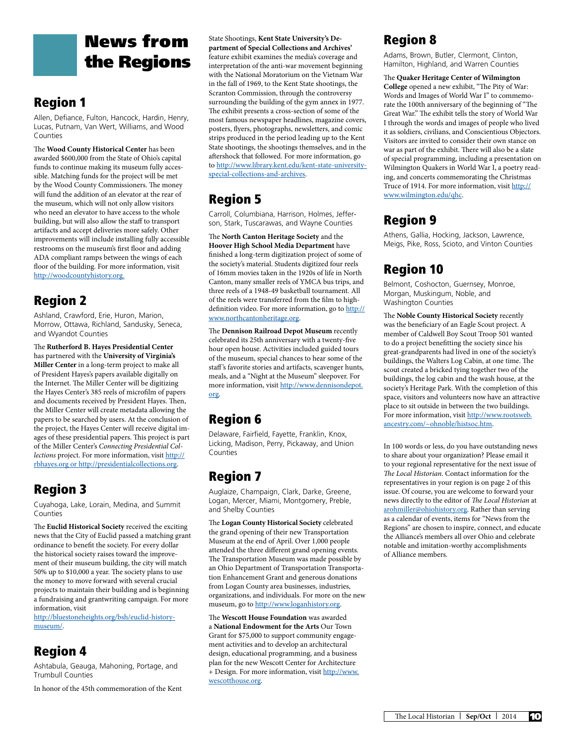# News from the Regions

# Region 1

Allen, Defiance, Fulton, Hancock, Hardin, Henry, Lucas, Putnam, Van Wert, Williams, and Wood Counties

The **Wood County Historical Center** has been awarded \$600,000 from the State of Ohio's capital funds to continue making its museum fully accessible. Matching funds for the project will be met by the Wood County Commissioners. The money will fund the addition of an elevator at the rear of the museum, which will not only allow visitors who need an elevator to have access to the whole building, but will also allow the staff to transport artifacts and accept deliveries more safely. Other improvements will include installing fully accessible restrooms on the museum's first floor and adding ADA compliant ramps between the wings of each floor of the building. For more information, visit http://woodcountyhistory.org.

# Region 2

Ashland, Crawford, Erie, Huron, Marion, Morrow, Ottawa, Richland, Sandusky, Seneca, and Wyandot Counties

The **Rutherford B. Hayes Presidential Center** has partnered with the **University of Virginia's Miller Center** in a long-term project to make all of President Hayes's papers available digitally on the Internet. The Miller Center will be digitizing the Hayes Center's 385 reels of microfilm of papers and documents received by President Hayes. Then, the Miller Center will create metadata allowing the papers to be searched by users. At the conclusion of the project, the Hayes Center will receive digital images of these presidential papers. This project is part of the Miller Center's *Connecting Presidential Collections* project. For more information, visit http:// rbhayes.org or http://presidentialcollections.org.

# Region 3

Cuyahoga, Lake, Lorain, Medina, and Summit Counties

The **Euclid Historical Society** received the exciting news that the City of Euclid passed a matching grant ordinance to benefit the society. For every dollar the historical society raises toward the improvement of their museum building, the city will match 50% up to \$10,000 a year. The society plans to use the money to move forward with several crucial projects to maintain their building and is beginning a fundraising and grantwriting campaign. For more information, visit

http://bluestoneheights.org/bsh/euclid-historymuseum/.

# Region 4

Ashtabula, Geauga, Mahoning, Portage, and Trumbull Counties

In honor of the 45th commemoration of the Kent

State Shootings, **Kent State University's Department of Special Collections and Archives'**

feature exhibit examines the media's coverage and interpretation of the anti-war movement beginning with the National Moratorium on the Vietnam War in the fall of 1969, to the Kent State shootings, the Scranton Commission, through the controversy surrounding the building of the gym annex in 1977. The exhibit presents a cross-section of some of the most famous newspaper headlines, magazine covers, posters, flyers, photographs, newsletters, and comic strips produced in the period leading up to the Kent State shootings, the shootings themselves, and in the aftershock that followed. For more information, go to http://www.library.kent.edu/kent-state-universityspecial-collections-and-archives.

# Region 5

Carroll, Columbiana, Harrison, Holmes, Jefferson, Stark, Tuscarawas, and Wayne Counties

The **North Canton Heritage Society** and the **Hoover High School Media Department** have finished a long-term digitization project of some of the society's material. Students digitized four reels of 16mm movies taken in the 1920s of life in North Canton, many smaller reels of YMCA bus trips, and three reels of a 1948-49 basketball tournament. All of the reels were transferred from the film to highdefinition video. For more information, go to http:// www.northcantonheritage.org.

The **Dennison Railroad Depot Museum** recently celebrated its 25th anniversary with a twenty-five hour open house. Activities included guided tours of the museum, special chances to hear some of the staff 's favorite stories and artifacts, scavenger hunts, meals, and a "Night at the Museum" sleepover. For more information, visit http://www.dennisondepot. org.

# Region 6

Delaware, Fairfield, Fayette, Franklin, Knox, Licking, Madison, Perry, Pickaway, and Union Counties

# Region 7

Auglaize, Champaign, Clark, Darke, Greene, Logan, Mercer, Miami, Montgomery, Preble, and Shelby Counties

The **Logan County Historical Society** celebrated the grand opening of their new Transportation Museum at the end of April. Over 1,000 people attended the three different grand opening events. The Transportation Museum was made possible by an Ohio Department of Transportation Transportation Enhancement Grant and generous donations from Logan County area businesses, industries, organizations, and individuals. For more on the new museum, go to http://www.loganhistory.org.

The **Wescott House Foundation** was awarded a **National Endowment for the Arts** Our Town Grant for \$75,000 to support community engagement activities and to develop an architectural design, educational programming, and a business plan for the new Wescott Center for Architecture + Design. For more information, visit http://www. wescotthouse.org.

# Region 8

Adams, Brown, Butler, Clermont, Clinton, Hamilton, Highland, and Warren Counties

#### The **Quaker Heritage Center of Wilmington**

**College** opened a new exhibit, "The Pity of War: Words and Images of World War I" to commemorate the 100th anniversary of the beginning of "The Great War." The exhibit tells the story of World War I through the words and images of people who lived it as soldiers, civilians, and Conscientious Objectors. Visitors are invited to consider their own stance on war as part of the exhibit. There will also be a slate of special programming, including a presentation on Wilmington Quakers in World War I, a poetry reading, and concerts commemorating the Christmas Truce of 1914. For more information, visit http:// www.wilmington.edu/qhc.

# Region 9

Athens, Gallia, Hocking, Jackson, Lawrence, Meigs, Pike, Ross, Scioto, and Vinton Counties

# Region 10

Belmont, Coshocton, Guernsey, Monroe, Morgan, Muskingum, Noble, and Washington Counties

The **Noble County Historical Society** recently was the beneficiary of an Eagle Scout project. A member of Caldwell Boy Scout Troop 501 wanted to do a project benefitting the society since his great-grandparents had lived in one of the society's buildings, the Walters Log Cabin, at one time. The scout created a bricked tying together two of the buildings, the log cabin and the wash house, at the society's Heritage Park. With the completion of this space, visitors and volunteers now have an attractive place to sit outside in between the two buildings. For more information, visit http://www.rootsweb. ancestry.com/~ohnoble/histsoc.htm.

In 100 words or less, do you have outstanding news to share about your organization? Please email it to your regional representative for the next issue of *The Local Historian*. Contact information for the representatives in your region is on page 2 of this issue. Of course, you are welcome to forward your news directly to the editor of *The Local Historian* at arohmiller@ohiohistory.org. Rather than serving as a calendar of events, items for "News from the Regions" are chosen to inspire, connect, and educate the Alliance's members all over Ohio and celebrate notable and imitation-worthy accomplishments of Alliance members.